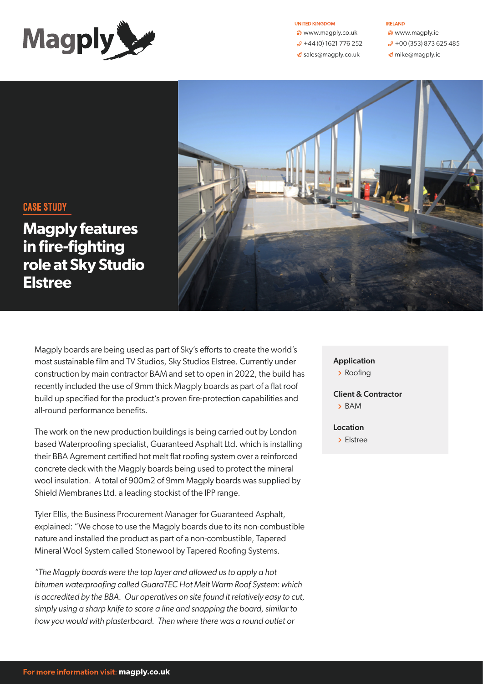

#### UNITED KINGDOM

**D** www.magply.co.uk  $\mathcal{P}$  +44 (0) 1621 776 252  $\triangleleft$  [sales@magply.co.uk](mailto:sales%40magply.co.uk?subject=)

#### IRELAND

- **D** www.magply.ie
- $\mathcal{P}$  +00 (353) 873 625 485
- $\triangle$  [mike@magply.ie](mailto:mike%40magply.ie?subject=)



# CASE STUDY

**Magply features in fire-fighting role at Sky Studio Elstree**

Magply boards are being used as part of Sky's efforts to create the world's most sustainable film and TV Studios, Sky Studios Elstree. Currently under construction by main contractor BAM and set to open in 2022, the build has recently included the use of 9mm thick Magply boards as part of a flat roof build up specified for the product's proven fire-protection capabilities and all-round performance benefits.

The work on the new production buildings is being carried out by London based Waterproofing specialist, Guaranteed Asphalt Ltd. which is installing their BBA Agrement certified hot melt flat roofing system over a reinforced concrete deck with the Magply boards being used to protect the mineral wool insulation. A total of 900m2 of 9mm Magply boards was supplied by Shield Membranes Ltd. a leading stockist of the IPP range.

Tyler Ellis, the Business Procurement Manager for Guaranteed Asphalt, explained: "We chose to use the Magply boards due to its non-combustible nature and installed the product as part of a non-combustible, Tapered Mineral Wool System called Stonewool by Tapered Roofing Systems.

*"The Magply boards were the top layer and allowed us to apply a hot bitumen waterproofing called GuaraTEC Hot Melt Warm Roof System: which is accredited by the BBA. Our operatives on site found it relatively easy to cut, simply using a sharp knife to score a line and snapping the board, similar to how you would with plasterboard. Then where there was a round outlet or* 

## Application

> Roofing

Client & Contractor р BAM

Location

> Elstree